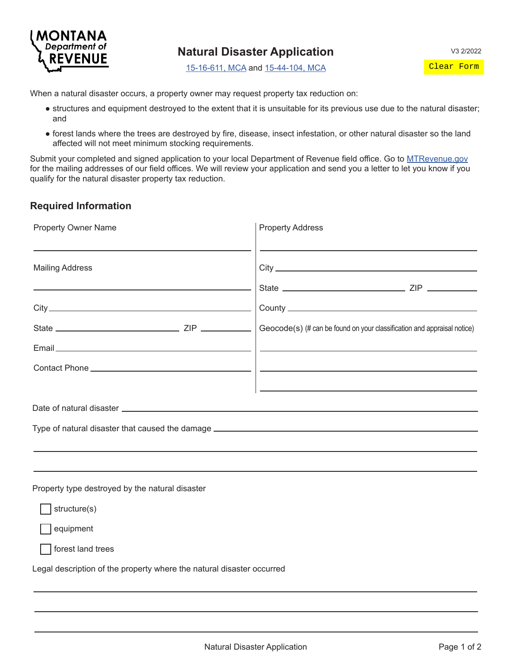

Clear Form

[15-16-611, MCA](https://leg.mt.gov/bills/mca/title_0150/chapter_0160/part_0060/section_0110/0150-0160-0060-0110.html) and [15-44-104, MCA](https://leg.mt.gov/bills/mca/title_0150/chapter_0440/part_0010/section_0040/0150-0440-0010-0040.html)

When a natural disaster occurs, a property owner may request property tax reduction on:

- structures and equipment destroyed to the extent that it is unsuitable for its previous use due to the natural disaster; and
- forest lands where the trees are destroyed by fire, disease, insect infestation, or other natural disaster so the land affected will not meet minimum stocking requirements.

Submit your completed and signed application to your local Department of Revenue field office. Go to [MTRevenue.gov](https://MTRevenue.gov) for the mailing addresses of our field offices. We will review your application and send you a letter to let you know if you qualify for the natural disaster property tax reduction.

## **Required Information**

| <b>Property Owner Name</b><br><b>Mailing Address</b>                  |  | <b>Property Address</b>                                                                   |  |
|-----------------------------------------------------------------------|--|-------------------------------------------------------------------------------------------|--|
|                                                                       |  | the control of the control of the control of the control of the control of the control of |  |
|                                                                       |  |                                                                                           |  |
|                                                                       |  | Geocode(s) (# can be found on your classification and appraisal notice)                   |  |
|                                                                       |  |                                                                                           |  |
|                                                                       |  |                                                                                           |  |
|                                                                       |  |                                                                                           |  |
|                                                                       |  |                                                                                           |  |
|                                                                       |  |                                                                                           |  |
|                                                                       |  |                                                                                           |  |
|                                                                       |  |                                                                                           |  |
| Property type destroyed by the natural disaster                       |  |                                                                                           |  |
| structure(s)                                                          |  |                                                                                           |  |
| equipment                                                             |  |                                                                                           |  |
| forest land trees                                                     |  |                                                                                           |  |
| Legal description of the property where the natural disaster occurred |  |                                                                                           |  |
|                                                                       |  |                                                                                           |  |